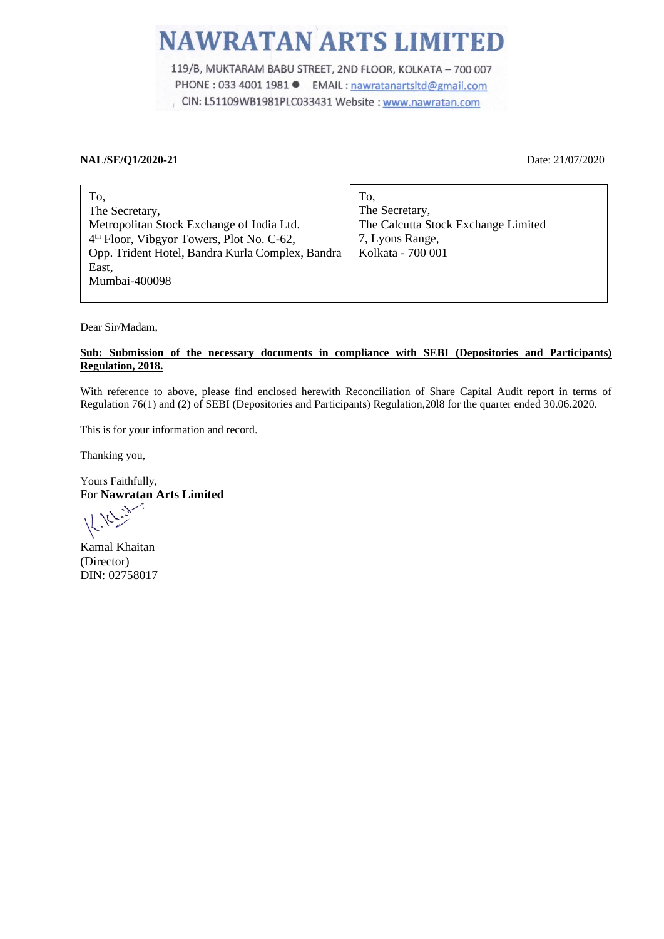## **NAWRATAN ARTS LIMITED**

119/B, MUKTARAM BABU STREET, 2ND FLOOR, KOLKATA - 700 007 PHONE : 033 4001 1981 ● EMAIL : nawratanartsltd@gmail.com CIN: L51109WB1981PLC033431 Website : www.nawratan.com

## **NAL/SE/Q1/2020-21** Date: 21/07/2020

| To,                                                   | To,                                 |
|-------------------------------------------------------|-------------------------------------|
| The Secretary,                                        | The Secretary,                      |
| Metropolitan Stock Exchange of India Ltd.             | The Calcutta Stock Exchange Limited |
| 4 <sup>th</sup> Floor, Vibgyor Towers, Plot No. C-62, | 7, Lyons Range,                     |
| Opp. Trident Hotel, Bandra Kurla Complex, Bandra      | Kolkata - 700 001                   |
| East,                                                 |                                     |
| Mumbai-400098                                         |                                     |
|                                                       |                                     |

Dear Sir/Madam,

## **Sub: Submission of the necessary documents in compliance with SEBI (Depositories and Participants) Regulation, 2018.**

With reference to above, please find enclosed herewith Reconciliation of Share Capital Audit report in terms of Regulation 76(1) and (2) of SEBI (Depositories and Participants) Regulation,20l8 for the quarter ended 30.06.2020.

This is for your information and record.

Thanking you,

Yours Faithfully, For **Nawratan Arts Limited**

Kamal Khaitan (Director) DIN: 02758017